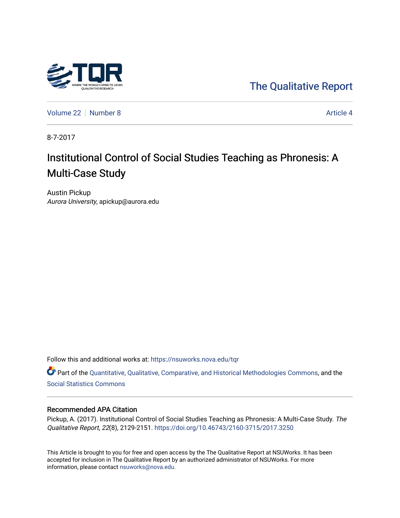

[The Qualitative Report](https://nsuworks.nova.edu/tqr) 

[Volume 22](https://nsuworks.nova.edu/tqr/vol22) [Number 8](https://nsuworks.nova.edu/tqr/vol22/iss8) Article 4

8-7-2017

# Institutional Control of Social Studies Teaching as Phronesis: A Multi-Case Study

Austin Pickup Aurora University, apickup@aurora.edu

Follow this and additional works at: [https://nsuworks.nova.edu/tqr](https://nsuworks.nova.edu/tqr?utm_source=nsuworks.nova.edu%2Ftqr%2Fvol22%2Fiss8%2F4&utm_medium=PDF&utm_campaign=PDFCoverPages) 

Part of the [Quantitative, Qualitative, Comparative, and Historical Methodologies Commons,](http://network.bepress.com/hgg/discipline/423?utm_source=nsuworks.nova.edu%2Ftqr%2Fvol22%2Fiss8%2F4&utm_medium=PDF&utm_campaign=PDFCoverPages) and the [Social Statistics Commons](http://network.bepress.com/hgg/discipline/1275?utm_source=nsuworks.nova.edu%2Ftqr%2Fvol22%2Fiss8%2F4&utm_medium=PDF&utm_campaign=PDFCoverPages) 

## Recommended APA Citation

Pickup, A. (2017). Institutional Control of Social Studies Teaching as Phronesis: A Multi-Case Study. The Qualitative Report, 22(8), 2129-2151. <https://doi.org/10.46743/2160-3715/2017.3250>

This Article is brought to you for free and open access by the The Qualitative Report at NSUWorks. It has been accepted for inclusion in The Qualitative Report by an authorized administrator of NSUWorks. For more information, please contact [nsuworks@nova.edu.](mailto:nsuworks@nova.edu)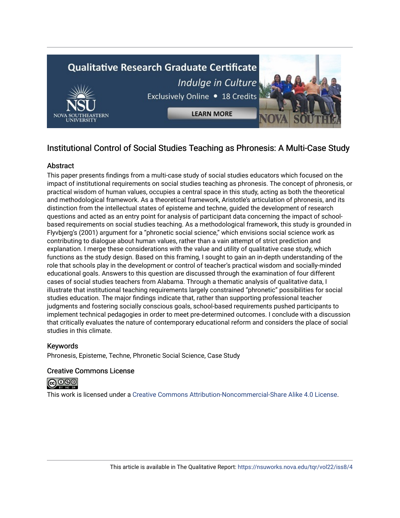

## Institutional Control of Social Studies Teaching as Phronesis: A Multi-Case Study

## **Abstract**

This paper presents findings from a multi-case study of social studies educators which focused on the impact of institutional requirements on social studies teaching as phronesis. The concept of phronesis, or practical wisdom of human values, occupies a central space in this study, acting as both the theoretical and methodological framework. As a theoretical framework, Aristotle's articulation of phronesis, and its distinction from the intellectual states of episteme and techne, guided the development of research questions and acted as an entry point for analysis of participant data concerning the impact of schoolbased requirements on social studies teaching. As a methodological framework, this study is grounded in Flyvbjerg's (2001) argument for a "phronetic social science," which envisions social science work as contributing to dialogue about human values, rather than a vain attempt of strict prediction and explanation. I merge these considerations with the value and utility of qualitative case study, which functions as the study design. Based on this framing, I sought to gain an in-depth understanding of the role that schools play in the development or control of teacher's practical wisdom and socially-minded educational goals. Answers to this question are discussed through the examination of four different cases of social studies teachers from Alabama. Through a thematic analysis of qualitative data, I illustrate that institutional teaching requirements largely constrained "phronetic" possibilities for social studies education. The major findings indicate that, rather than supporting professional teacher judgments and fostering socially conscious goals, school-based requirements pushed participants to implement technical pedagogies in order to meet pre-determined outcomes. I conclude with a discussion that critically evaluates the nature of contemporary educational reform and considers the place of social studies in this climate.

## Keywords

Phronesis, Episteme, Techne, Phronetic Social Science, Case Study

## Creative Commons License



This work is licensed under a [Creative Commons Attribution-Noncommercial-Share Alike 4.0 License](https://creativecommons.org/licenses/by-nc-sa/4.0/).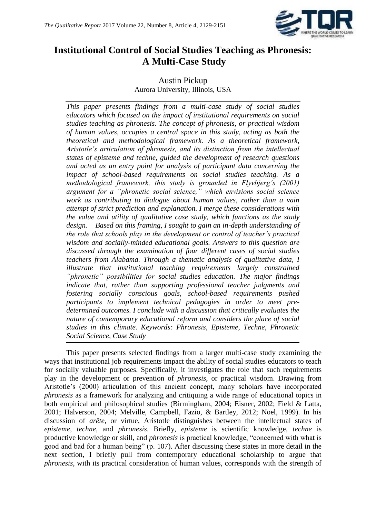

## **Institutional Control of Social Studies Teaching as Phronesis: A Multi-Case Study**

## Austin Pickup Aurora University, Illinois, USA

*This paper presents findings from a multi-case study of social studies educators which focused on the impact of institutional requirements on social studies teaching as phronesis. The concept of phronesis, or practical wisdom of human values, occupies a central space in this study, acting as both the theoretical and methodological framework. As a theoretical framework, Aristotle's articulation of phronesis, and its distinction from the intellectual states of episteme and techne, guided the development of research questions and acted as an entry point for analysis of participant data concerning the impact of school-based requirements on social studies teaching. As a methodological framework, this study is grounded in Flyvbjerg's (2001) argument for a "phronetic social science," which envisions social science work as contributing to dialogue about human values, rather than a vain attempt of strict prediction and explanation. I merge these considerations with the value and utility of qualitative case study, which functions as the study design. Based on this framing, I sought to gain an in-depth understanding of the role that schools play in the development or control of teacher's practical wisdom and socially-minded educational goals. Answers to this question are discussed through the examination of four different cases of social studies teachers from Alabama. Through a thematic analysis of qualitative data, I illustrate that institutional teaching requirements largely constrained "phronetic" possibilities for social studies education. The major findings indicate that, rather than supporting professional teacher judgments and fostering socially conscious goals, school-based requirements pushed participants to implement technical pedagogies in order to meet predetermined outcomes. I conclude with a discussion that critically evaluates the nature of contemporary educational reform and considers the place of social studies in this climate. Keywords: Phronesis, Episteme, Techne, Phronetic Social Science, Case Study*

This paper presents selected findings from a larger multi-case study examining the ways that institutional job requirements impact the ability of social studies educators to teach for socially valuable purposes. Specifically, it investigates the role that such requirements play in the development or prevention of *phronesis*, or practical wisdom. Drawing from Aristotle's (2000) articulation of this ancient concept, many scholars have incorporated *phronesis* as a framework for analyzing and critiquing a wide range of educational topics in both empirical and philosophical studies (Birmingham, 2004; Eisner, 2002; Field & Latta, 2001; Halverson, 2004; Melville, Campbell, Fazio, & Bartley, 2012; Noel, 1999). In his discussion of *arête*, or virtue, Aristotle distinguishes between the intellectual states of *episteme*, *techne*, and *phronesis*. Briefly, *episteme* is scientific knowledge, *techne* is productive knowledge or skill, and *phronesis* is practical knowledge, "concerned with what is good and bad for a human being" (p. 107). After discussing these states in more detail in the next section, I briefly pull from contemporary educational scholarship to argue that *phronesis*, with its practical consideration of human values, corresponds with the strength of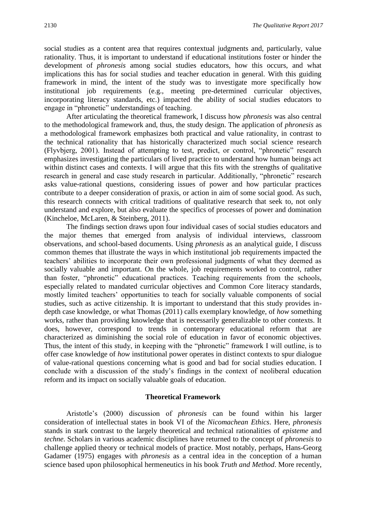social studies as a content area that requires contextual judgments and, particularly, value rationality. Thus, it is important to understand if educational institutions foster or hinder the development of *phronesis* among social studies educators, how this occurs, and what implications this has for social studies and teacher education in general. With this guiding framework in mind, the intent of the study was to investigate more specifically how institutional job requirements (e.g., meeting pre-determined curricular objectives, incorporating literacy standards, etc.) impacted the ability of social studies educators to engage in "phronetic" understandings of teaching.

After articulating the theoretical framework, I discuss how *phronesis* was also central to the methodological framework and, thus, the study design. The application of *phronesis* as a methodological framework emphasizes both practical and value rationality, in contrast to the technical rationality that has historically characterized much social science research (Flyvbjerg, 2001). Instead of attempting to test, predict, or control, "phronetic" research emphasizes investigating the particulars of lived practice to understand how human beings act within distinct cases and contexts. I will argue that this fits with the strengths of qualitative research in general and case study research in particular. Additionally, "phronetic" research asks value-rational questions, considering issues of power and how particular practices contribute to a deeper consideration of praxis, or action in aim of some social good. As such, this research connects with critical traditions of qualitative research that seek to, not only understand and explore, but also evaluate the specifics of processes of power and domination (Kincheloe, McLaren, & Steinberg, 2011).

The findings section draws upon four individual cases of social studies educators and the major themes that emerged from analysis of individual interviews, classroom observations, and school-based documents. Using *phronesis* as an analytical guide, I discuss common themes that illustrate the ways in which institutional job requirements impacted the teachers' abilities to incorporate their own professional judgments of what they deemed as socially valuable and important. On the whole, job requirements worked to control, rather than foster, "phronetic" educational practices. Teaching requirements from the schools, especially related to mandated curricular objectives and Common Core literacy standards, mostly limited teachers' opportunities to teach for socially valuable components of social studies, such as active citizenship. It is important to understand that this study provides indepth case knowledge, or what Thomas (2011) calls exemplary knowledge, of *how* something works, rather than providing knowledge that is necessarily generalizable to other contexts. It does, however, correspond to trends in contemporary educational reform that are characterized as diminishing the social role of education in favor of economic objectives. Thus, the intent of this study, in keeping with the "phronetic" framework I will outline, is to offer case knowledge of *how* institutional power operates in distinct contexts to spur dialogue of value-rational questions concerning what is good and bad for social studies education. I conclude with a discussion of the study's findings in the context of neoliberal education reform and its impact on socially valuable goals of education.

#### **Theoretical Framework**

Aristotle's (2000) discussion of *phronesis* can be found within his larger consideration of intellectual states in book VI of the *Nicomachean Ethics*. Here, *phronesis* stands in stark contrast to the largely theoretical and technical rationalities of *episteme* and *techne*. Scholars in various academic disciplines have returned to the concept of *phronesis* to challenge applied theory or technical models of practice. Most notably, perhaps, Hans-Georg Gadamer (1975) engages with *phronesis* as a central idea in the conception of a human science based upon philosophical hermeneutics in his book *Truth and Method*. More recently,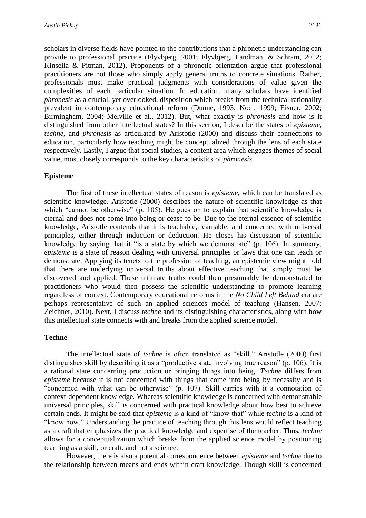scholars in diverse fields have pointed to the contributions that a phronetic understanding can provide to professional practice (Flyvbjerg, 2001; Flyvbjerg, Landman, & Schram, 2012; Kinsella & Pitman, 2012). Proponents of a phronetic orientation argue that professional practitioners are not those who simply apply general truths to concrete situations. Rather, professionals must make practical judgments with considerations of value given the complexities of each particular situation. In education, many scholars have identified *phronesis* as a crucial, yet overlooked, disposition which breaks from the technical rationality prevalent in contemporary educational reform (Dunne, 1993; Noel, 1999; Eisner, 2002; Birmingham, 2004; Melville et al., 2012). But, what exactly is *phronesis* and how is it distinguished from other intellectual states? In this section, I describe the states of *episteme*, *techne*, and *phronesis* as articulated by Aristotle (2000) and discuss their connections to education, particularly how teaching might be conceptualized through the lens of each state respectively. Lastly, I argue that social studies, a content area which engages themes of social value, most closely corresponds to the key characteristics of *phronesis*.

## **Episteme**

The first of these intellectual states of reason is *episteme*, which can be translated as scientific knowledge. Aristotle (2000) describes the nature of scientific knowledge as that which "cannot be otherwise" (p. 105). He goes on to explain that scientific knowledge is eternal and does not come into being or cease to be. Due to the eternal essence of scientific knowledge, Aristotle contends that it is teachable, learnable, and concerned with universal principles, either through induction or deduction. He closes his discussion of scientific knowledge by saying that it "is a state by which we demonstrate" (p. 106). In summary, *episteme* is a state of reason dealing with universal principles or laws that one can teach or demonstrate. Applying its tenets to the profession of teaching, an epistemic view might hold that there are underlying universal truths about effective teaching that simply must be discovered and applied. These ultimate truths could then presumably be demonstrated to practitioners who would then possess the scientific understanding to promote learning regardless of context. Contemporary educational reforms in the *No Child Left Behind* era are perhaps representative of such an applied sciences model of teaching (Hansen, 2007; Zeichner, 2010). Next, I discuss *techne* and its distinguishing characteristics, along with how this intellectual state connects with and breaks from the applied science model.

## **Techne**

The intellectual state of *techne* is often translated as "skill." Aristotle (2000) first distinguishes skill by describing it as a "productive state involving true reason" (p. 106). It is a rational state concerning production or bringing things into being. *Techne* differs from *episteme* because it is not concerned with things that come into being by necessity and is "concerned with what can be otherwise" (p. 107). Skill carries with it a connotation of context-dependent knowledge. Whereas scientific knowledge is concerned with demonstrable universal principles, skill is concerned with practical knowledge about how best to achieve certain ends. It might be said that *episteme* is a kind of "know that" while *techne* is a kind of "know how." Understanding the practice of teaching through this lens would reflect teaching as a craft that emphasizes the practical knowledge and expertise of the teacher. Thus, *techne*  allows for a conceptualization which breaks from the applied science model by positioning teaching as a skill, or craft, and not a science.

However, there is also a potential correspondence between *episteme* and *techne* due to the relationship between means and ends within craft knowledge. Though skill is concerned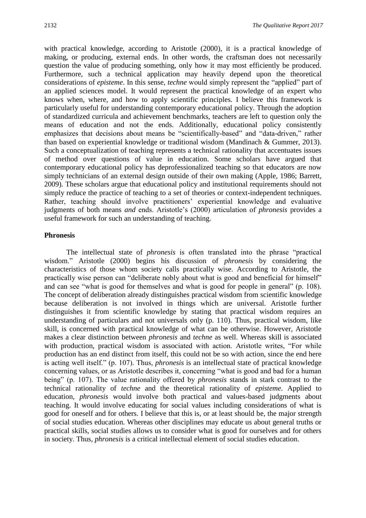with practical knowledge, according to Aristotle (2000), it is a practical knowledge of making, or producing, external ends. In other words, the craftsman does not necessarily question the value of producing something, only how it may most efficiently be produced. Furthermore, such a technical application may heavily depend upon the theoretical considerations of *episteme*. In this sense, *techne* would simply represent the "applied" part of an applied sciences model. It would represent the practical knowledge of an expert who knows when, where, and how to apply scientific principles. I believe this framework is particularly useful for understanding contemporary educational policy. Through the adoption of standardized curricula and achievement benchmarks, teachers are left to question only the means of education and not the ends. Additionally, educational policy consistently emphasizes that decisions about means be "scientifically-based" and "data-driven," rather than based on experiential knowledge or traditional wisdom (Mandinach & Gummer, 2013). Such a conceptualization of teaching represents a technical rationality that accentuates issues of method over questions of value in education. Some scholars have argued that contemporary educational policy has deprofessionalized teaching so that educators are now simply technicians of an external design outside of their own making (Apple, 1986; Barrett, 2009). These scholars argue that educational policy and institutional requirements should not simply reduce the practice of teaching to a set of theories or context-independent techniques. Rather, teaching should involve practitioners' experiential knowledge and evaluative judgments of both means *and* ends. Aristotle's (2000) articulation of *phronesis* provides a useful framework for such an understanding of teaching.

## **Phronesis**

The intellectual state of *phronesis* is often translated into the phrase "practical wisdom." Aristotle (2000) begins his discussion of *phronesis* by considering the characteristics of those whom society calls practically wise. According to Aristotle, the practically wise person can "deliberate nobly about what is good and beneficial for himself" and can see "what is good for themselves and what is good for people in general" (p. 108). The concept of deliberation already distinguishes practical wisdom from scientific knowledge because deliberation is not involved in things which are universal. Aristotle further distinguishes it from scientific knowledge by stating that practical wisdom requires an understanding of particulars and not universals only (p. 110). Thus, practical wisdom, like skill, is concerned with practical knowledge of what can be otherwise. However, Aristotle makes a clear distinction between *phronesis* and *techne* as well. Whereas skill is associated with production, practical wisdom is associated with action. Aristotle writes, "For while production has an end distinct from itself, this could not be so with action, since the end here is acting well itself." (p. 107). Thus, *phronesis* is an intellectual state of practical knowledge concerning values, or as Aristotle describes it, concerning "what is good and bad for a human being" (p. 107). The value rationality offered by *phronesis* stands in stark contrast to the technical rationality of *techne* and the theoretical rationality of *episteme*. Applied to education, *phronesis* would involve both practical and values-based judgments about teaching. It would involve educating for social values including considerations of what is good for oneself and for others. I believe that this is, or at least should be, the major strength of social studies education. Whereas other disciplines may educate us about general truths or practical skills, social studies allows us to consider what is good for ourselves and for others in society. Thus, *phronesis* is a critical intellectual element of social studies education.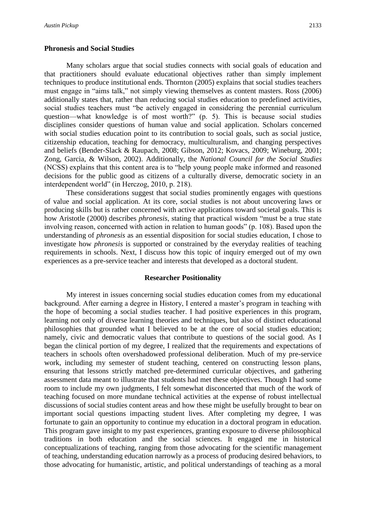## **Phronesis and Social Studies**

Many scholars argue that social studies connects with social goals of education and that practitioners should evaluate educational objectives rather than simply implement techniques to produce institutional ends. Thornton (2005) explains that social studies teachers must engage in "aims talk," not simply viewing themselves as content masters. Ross (2006) additionally states that, rather than reducing social studies education to predefined activities, social studies teachers must "be actively engaged in considering the perennial curriculum question—what knowledge is of most worth?" (p. 5). This is because social studies disciplines consider questions of human value and social application. Scholars concerned with social studies education point to its contribution to social goals, such as social justice, citizenship education, teaching for democracy, multiculturalism, and changing perspectives and beliefs (Bender-Slack & Raupach, 2008; Gibson, 2012; Kovacs, 2009; Wineburg, 2001; Zong, Garcia, & Wilson, 2002). Additionally, the *National Council for the Social Studies*  (NCSS) explains that this content area is to "help young people make informed and reasoned decisions for the public good as citizens of a culturally diverse, democratic society in an interdependent world" (in Herczog, 2010, p. 218).

These considerations suggest that social studies prominently engages with questions of value and social application. At its core, social studies is not about uncovering laws or producing skills but is rather concerned with active applications toward societal goals. This is how Aristotle (2000) describes *phronesis*, stating that practical wisdom "must be a true state involving reason, concerned with action in relation to human goods" (p. 108). Based upon the understanding of *phronesis* as an essential disposition for social studies education, I chose to investigate how *phronesis* is supported or constrained by the everyday realities of teaching requirements in schools. Next, I discuss how this topic of inquiry emerged out of my own experiences as a pre-service teacher and interests that developed as a doctoral student.

#### **Researcher Positionality**

My interest in issues concerning social studies education comes from my educational background. After earning a degree in History, I entered a master's program in teaching with the hope of becoming a social studies teacher. I had positive experiences in this program, learning not only of diverse learning theories and techniques, but also of distinct educational philosophies that grounded what I believed to be at the core of social studies education; namely, civic and democratic values that contribute to questions of the social good. As I began the clinical portion of my degree, I realized that the requirements and expectations of teachers in schools often overshadowed professional deliberation. Much of my pre-service work, including my semester of student teaching, centered on constructing lesson plans, ensuring that lessons strictly matched pre-determined curricular objectives, and gathering assessment data meant to illustrate that students had met these objectives. Though I had some room to include my own judgments, I felt somewhat disconcerted that much of the work of teaching focused on more mundane technical activities at the expense of robust intellectual discussions of social studies content areas and how these might be usefully brought to bear on important social questions impacting student lives. After completing my degree, I was fortunate to gain an opportunity to continue my education in a doctoral program in education. This program gave insight to my past experiences, granting exposure to diverse philosophical traditions in both education and the social sciences. It engaged me in historical conceptualizations of teaching, ranging from those advocating for the scientific management of teaching, understanding education narrowly as a process of producing desired behaviors, to those advocating for humanistic, artistic, and political understandings of teaching as a moral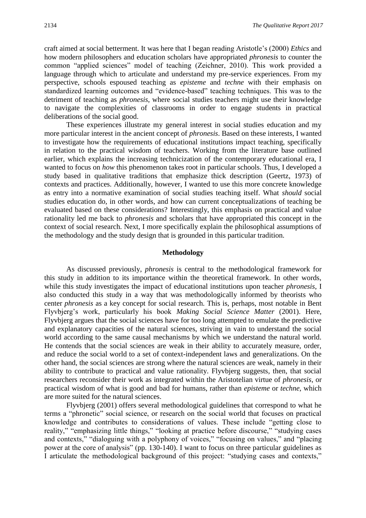craft aimed at social betterment. It was here that I began reading Aristotle's (2000) *Ethics* and how modern philosophers and education scholars have appropriated *phronesis* to counter the common "applied sciences" model of teaching (Zeichner, 2010). This work provided a language through which to articulate and understand my pre-service experiences. From my perspective, schools espoused teaching as *episteme* and *techne* with their emphasis on standardized learning outcomes and "evidence-based" teaching techniques. This was to the detriment of teaching as *phronesis*, where social studies teachers might use their knowledge to navigate the complexities of classrooms in order to engage students in practical deliberations of the social good.

These experiences illustrate my general interest in social studies education and my more particular interest in the ancient concept of *phronesis*. Based on these interests, I wanted to investigate how the requirements of educational institutions impact teaching, specifically in relation to the practical wisdom of teachers. Working from the literature base outlined earlier, which explains the increasing technicization of the contemporary educational era, I wanted to focus on *how* this phenomenon takes root in particular schools. Thus, I developed a study based in qualitative traditions that emphasize thick description (Geertz, 1973) of contexts and practices. Additionally, however, I wanted to use this more concrete knowledge as entry into a normative examination of social studies teaching itself. What *should* social studies education do, in other words, and how can current conceptualizations of teaching be evaluated based on these considerations? Interestingly, this emphasis on practical and value rationality led me back to *phronesis* and scholars that have appropriated this concept in the context of social research. Next, I more specifically explain the philosophical assumptions of the methodology and the study design that is grounded in this particular tradition.

## **Methodology**

As discussed previously, *phronesis* is central to the methodological framework for this study in addition to its importance within the theoretical framework. In other words, while this study investigates the impact of educational institutions upon teacher *phronesis*, I also conducted this study in a way that was methodologically informed by theorists who center *phronesis* as a key concept for social research. This is, perhaps, most notable in Bent Flyvbjerg's work, particularly his book *Making Social Science Matter* (2001). Here, Flyvbjerg argues that the social sciences have for too long attempted to emulate the predictive and explanatory capacities of the natural sciences, striving in vain to understand the social world according to the same causal mechanisms by which we understand the natural world. He contends that the social sciences are weak in their ability to accurately measure, order, and reduce the social world to a set of context-independent laws and generalizations. On the other hand, the social sciences are strong where the natural sciences are weak, namely in their ability to contribute to practical and value rationality. Flyvbjerg suggests, then, that social researchers reconsider their work as integrated within the Aristotelian virtue of *phronesis*, or practical wisdom of what is good and bad for humans, rather than *episteme* or *techne*, which are more suited for the natural sciences.

Flyvbjerg (2001) offers several methodological guidelines that correspond to what he terms a "phronetic" social science, or research on the social world that focuses on practical knowledge and contributes to considerations of values. These include "getting close to reality," "emphasizing little things," "looking at practice before discourse," "studying cases and contexts," "dialoguing with a polyphony of voices," "focusing on values," and "placing power at the core of analysis" (pp. 130-140). I want to focus on three particular guidelines as I articulate the methodological background of this project: "studying cases and contexts,"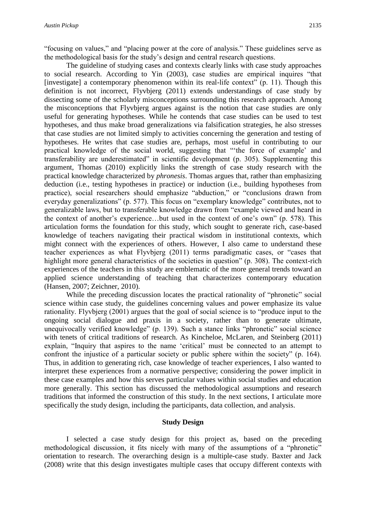"focusing on values," and "placing power at the core of analysis." These guidelines serve as the methodological basis for the study's design and central research questions.

The guideline of studying cases and contexts clearly links with case study approaches to social research. According to Yin (2003), case studies are empirical inquires "that [investigate] a contemporary phenomenon within its real-life context"  $(p. 11)$ . Though this definition is not incorrect, Flyvbjerg (2011) extends understandings of case study by dissecting some of the scholarly misconceptions surrounding this research approach. Among the misconceptions that Flyvbjerg argues against is the notion that case studies are only useful for generating hypotheses. While he contends that case studies can be used to test hypotheses, and thus make broad generalizations via falsification strategies, he also stresses that case studies are not limited simply to activities concerning the generation and testing of hypotheses. He writes that case studies are, perhaps, most useful in contributing to our practical knowledge of the social world, suggesting that "'the force of example' and transferability are underestimated" in scientific development (p. 305). Supplementing this argument, Thomas (2010) explicitly links the strength of case study research with the practical knowledge characterized by *phronesis*. Thomas argues that, rather than emphasizing deduction (i.e., testing hypotheses in practice) or induction (i.e., building hypotheses from practice), social researchers should emphasize "abduction," or "conclusions drawn from everyday generalizations" (p. 577). This focus on "exemplary knowledge" contributes, not to generalizable laws, but to transferable knowledge drawn from "example viewed and heard in the context of another's experience…but used in the context of one's own" (p. 578). This articulation forms the foundation for this study, which sought to generate rich, case-based knowledge of teachers navigating their practical wisdom in institutional contexts, which might connect with the experiences of others. However, I also came to understand these teacher experiences as what Flyvbjerg (2011) terms paradigmatic cases, or "cases that highlight more general characteristics of the societies in question" (p. 308). The context-rich experiences of the teachers in this study are emblematic of the more general trends toward an applied science understanding of teaching that characterizes contemporary education (Hansen, 2007; Zeichner, 2010).

While the preceding discussion locates the practical rationality of "phronetic" social science within case study, the guidelines concerning values and power emphasize its value rationality. Flyvbjerg (2001) argues that the goal of social science is to "produce input to the ongoing social dialogue and praxis in a society, rather than to generate ultimate, unequivocally verified knowledge" (p. 139). Such a stance links "phronetic" social science with tenets of critical traditions of research. As Kincheloe, McLaren, and Steinberg (2011) explain, "Inquiry that aspires to the name 'critical' must be connected to an attempt to confront the injustice of a particular society or public sphere within the society" (p. 164). Thus, in addition to generating rich, case knowledge of teacher experiences, I also wanted to interpret these experiences from a normative perspective; considering the power implicit in these case examples and how this serves particular values within social studies and education more generally. This section has discussed the methodological assumptions and research traditions that informed the construction of this study. In the next sections, I articulate more specifically the study design, including the participants, data collection, and analysis.

## **Study Design**

I selected a case study design for this project as, based on the preceding methodological discussion, it fits nicely with many of the assumptions of a "phronetic" orientation to research. The overarching design is a multiple-case study. Baxter and Jack (2008) write that this design investigates multiple cases that occupy different contexts with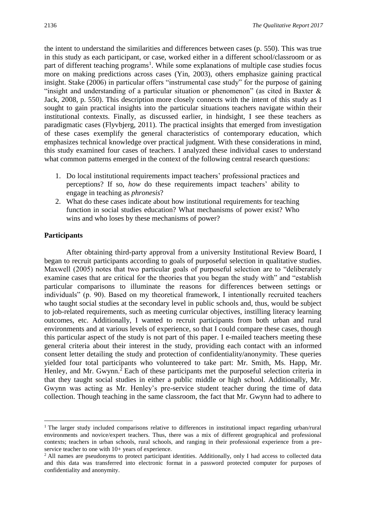the intent to understand the similarities and differences between cases (p. 550). This was true in this study as each participant, or case, worked either in a different school/classroom or as part of different teaching programs<sup>1</sup>. While some explanations of multiple case studies focus more on making predictions across cases (Yin, 2003), others emphasize gaining practical insight. Stake (2006) in particular offers "instrumental case study" for the purpose of gaining "insight and understanding of a particular situation or phenomenon" (as cited in Baxter  $\&$ Jack, 2008, p. 550). This description more closely connects with the intent of this study as I sought to gain practical insights into the particular situations teachers navigate within their institutional contexts. Finally, as discussed earlier, in hindsight, I see these teachers as paradigmatic cases (Flyvbjerg, 2011). The practical insights that emerged from investigation of these cases exemplify the general characteristics of contemporary education, which emphasizes technical knowledge over practical judgment. With these considerations in mind, this study examined four cases of teachers. I analyzed these individual cases to understand what common patterns emerged in the context of the following central research questions:

- 1. Do local institutional requirements impact teachers' professional practices and perceptions? If so, *how* do these requirements impact teachers' ability to engage in teaching as *phronesis*?
- 2. What do these cases indicate about how institutional requirements for teaching function in social studies education? What mechanisms of power exist? Who wins and who loses by these mechanisms of power?

## **Participants**

**.** 

After obtaining third-party approval from a university Institutional Review Board, I began to recruit participants according to goals of purposeful selection in qualitative studies. Maxwell (2005) notes that two particular goals of purposeful selection are to "deliberately examine cases that are critical for the theories that you began the study with" and "establish particular comparisons to illuminate the reasons for differences between settings or individuals" (p. 90). Based on my theoretical framework, I intentionally recruited teachers who taught social studies at the secondary level in public schools and, thus, would be subject to job-related requirements, such as meeting curricular objectives, instilling literacy learning outcomes, etc. Additionally, I wanted to recruit participants from both urban and rural environments and at various levels of experience, so that I could compare these cases, though this particular aspect of the study is not part of this paper. I e-mailed teachers meeting these general criteria about their interest in the study, providing each contact with an informed consent letter detailing the study and protection of confidentiality/anonymity. These queries yielded four total participants who volunteered to take part: Mr. Smith, Ms. Happ, Mr. Henley, and Mr. Gwynn.<sup>2</sup> Each of these participants met the purposeful selection criteria in that they taught social studies in either a public middle or high school. Additionally, Mr. Gwynn was acting as Mr. Henley's pre-service student teacher during the time of data collection. Though teaching in the same classroom, the fact that Mr. Gwynn had to adhere to

<sup>&</sup>lt;sup>1</sup> The larger study included comparisons relative to differences in institutional impact regarding urban/rural environments and novice/expert teachers. Thus, there was a mix of different geographical and professional contexts; teachers in urban schools, rural schools, and ranging in their professional experience from a preservice teacher to one with  $10+$  years of experience.

<sup>&</sup>lt;sup>2</sup> All names are pseudonyms to protect participant identities. Additionally, only I had access to collected data and this data was transferred into electronic format in a password protected computer for purposes of confidentiality and anonymity.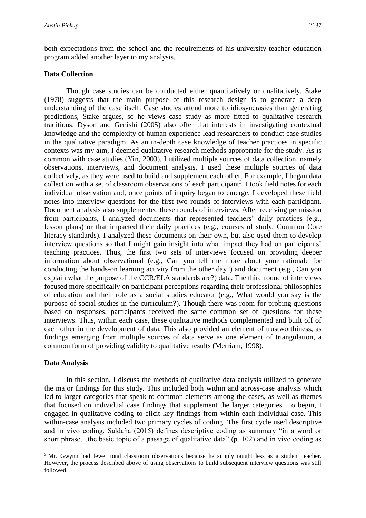both expectations from the school and the requirements of his university teacher education program added another layer to my analysis.

## **Data Collection**

Though case studies can be conducted either quantitatively or qualitatively, Stake (1978) suggests that the main purpose of this research design is to generate a deep understanding of the case itself. Case studies attend more to idiosyncrasies than generating predictions, Stake argues, so he views case study as more fitted to qualitative research traditions. Dyson and Genishi (2005) also offer that interests in investigating contextual knowledge and the complexity of human experience lead researchers to conduct case studies in the qualitative paradigm. As an in-depth case knowledge of teacher practices in specific contexts was my aim, I deemed qualitative research methods appropriate for the study. As is common with case studies (Yin, 2003), I utilized multiple sources of data collection, namely observations, interviews, and document analysis. I used these multiple sources of data collectively, as they were used to build and supplement each other. For example, I began data collection with a set of classroom observations of each participant<sup>3</sup>. I took field notes for each individual observation and, once points of inquiry began to emerge, I developed these field notes into interview questions for the first two rounds of interviews with each participant. Document analysis also supplemented these rounds of interviews. After receiving permission from participants, I analyzed documents that represented teachers' daily practices (e.g., lesson plans) or that impacted their daily practices (e.g., courses of study, Common Core literacy standards). I analyzed these documents on their own, but also used them to develop interview questions so that I might gain insight into what impact they had on participants' teaching practices. Thus, the first two sets of interviews focused on providing deeper information about observational (e.g., Can you tell me more about your rationale for conducting the hands-on learning activity from the other day?) and document (e.g., Can you explain what the purpose of the CCR/ELA standards are?) data. The third round of interviews focused more specifically on participant perceptions regarding their professional philosophies of education and their role as a social studies educator (e.g., What would you say is the purpose of social studies in the curriculum?). Though there was room for probing questions based on responses, participants received the same common set of questions for these interviews. Thus, within each case, these qualitative methods complemented and built off of each other in the development of data. This also provided an element of trustworthiness, as findings emerging from multiple sources of data serve as one element of triangulation, a common form of providing validity to qualitative results (Merriam, 1998).

## **Data Analysis**

1

In this section, I discuss the methods of qualitative data analysis utilized to generate the major findings for this study. This included both within and across-case analysis which led to larger categories that speak to common elements among the cases, as well as themes that focused on individual case findings that supplement the larger categories. To begin, I engaged in qualitative coding to elicit key findings from within each individual case. This within-case analysis included two primary cycles of coding. The first cycle used descriptive and in vivo coding. Saldaña (2015) defines descriptive coding as summary "in a word or short phrase...the basic topic of a passage of qualitative data" (p. 102) and in vivo coding as

<sup>&</sup>lt;sup>3</sup> Mr. Gwynn had fewer total classroom observations because he simply taught less as a student teacher. However, the process described above of using observations to build subsequent interview questions was still followed.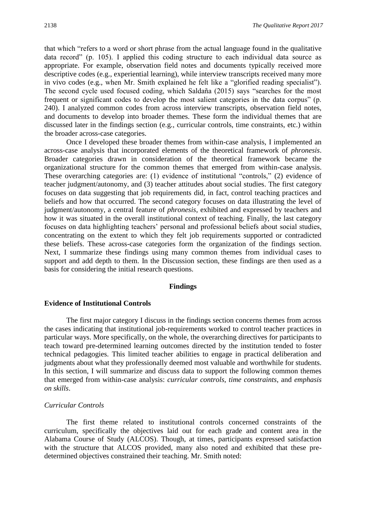that which "refers to a word or short phrase from the actual language found in the qualitative data record" (p. 105). I applied this coding structure to each individual data source as appropriate. For example, observation field notes and documents typically received more descriptive codes (e.g., experiential learning), while interview transcripts received many more in vivo codes (e.g., when Mr. Smith explained he felt like a "glorified reading specialist"). The second cycle used focused coding, which Saldaña (2015) says "searches for the most frequent or significant codes to develop the most salient categories in the data corpus" (p. 240). I analyzed common codes from across interview transcripts, observation field notes, and documents to develop into broader themes. These form the individual themes that are discussed later in the findings section (e.g., curricular controls, time constraints, etc.) within the broader across-case categories.

Once I developed these broader themes from within-case analysis, I implemented an across-case analysis that incorporated elements of the theoretical framework of *phronesis*. Broader categories drawn in consideration of the theoretical framework became the organizational structure for the common themes that emerged from within-case analysis. These overarching categories are: (1) evidence of institutional "controls," (2) evidence of teacher judgment/autonomy, and (3) teacher attitudes about social studies. The first category focuses on data suggesting that job requirements did, in fact, control teaching practices and beliefs and how that occurred. The second category focuses on data illustrating the level of judgment/autonomy, a central feature of *phronesis*, exhibited and expressed by teachers and how it was situated in the overall institutional context of teaching. Finally, the last category focuses on data highlighting teachers' personal and professional beliefs about social studies, concentrating on the extent to which they felt job requirements supported or contradicted these beliefs. These across-case categories form the organization of the findings section. Next, I summarize these findings using many common themes from individual cases to support and add depth to them. In the Discussion section, these findings are then used as a basis for considering the initial research questions.

#### **Findings**

#### **Evidence of Institutional Controls**

The first major category I discuss in the findings section concerns themes from across the cases indicating that institutional job-requirements worked to control teacher practices in particular ways. More specifically, on the whole, the overarching directives for participants to teach toward pre-determined learning outcomes directed by the institution tended to foster technical pedagogies. This limited teacher abilities to engage in practical deliberation and judgments about what they professionally deemed most valuable and worthwhile for students. In this section, I will summarize and discuss data to support the following common themes that emerged from within-case analysis: *curricular controls*, *time constraints*, and *emphasis on skills*.

#### *Curricular Controls*

The first theme related to institutional controls concerned constraints of the curriculum, specifically the objectives laid out for each grade and content area in the Alabama Course of Study (ALCOS). Though, at times, participants expressed satisfaction with the structure that ALCOS provided, many also noted and exhibited that these predetermined objectives constrained their teaching. Mr. Smith noted: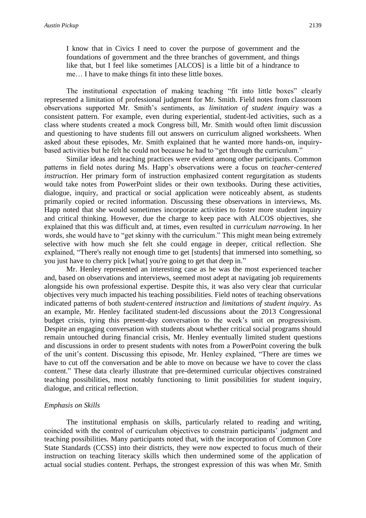I know that in Civics I need to cover the purpose of government and the foundations of government and the three branches of government, and things like that, but I feel like sometimes [ALCOS] is a little bit of a hindrance to me… I have to make things fit into these little boxes.

The institutional expectation of making teaching "fit into little boxes" clearly represented a limitation of professional judgment for Mr. Smith. Field notes from classroom observations supported Mr. Smith's sentiments, as *limitation of student inquiry* was a consistent pattern. For example, even during experiential, student-led activities, such as a class where students created a mock Congress bill, Mr. Smith would often limit discussion and questioning to have students fill out answers on curriculum aligned worksheets. When asked about these episodes, Mr. Smith explained that he wanted more hands-on, inquirybased activities but he felt he could not because he had to "get through the curriculum."

Similar ideas and teaching practices were evident among other participants. Common patterns in field notes during Ms. Happ's observations were a focus on *teacher-centered instruction*. Her primary form of instruction emphasized content regurgitation as students would take notes from PowerPoint slides or their own textbooks. During these activities, dialogue, inquiry, and practical or social application were noticeably absent, as students primarily copied or recited information. Discussing these observations in interviews, Ms. Happ noted that she would sometimes incorporate activities to foster more student inquiry and critical thinking. However, due the charge to keep pace with ALCOS objectives, she explained that this was difficult and, at times, even resulted in *curriculum narrowing*. In her words, she would have to "get skinny with the curriculum." This might mean being extremely selective with how much she felt she could engage in deeper, critical reflection. She explained, "There's really not enough time to get [students] that immersed into something, so you just have to cherry pick [what] you're going to get that deep in."

Mr. Henley represented an interesting case as he was the most experienced teacher and, based on observations and interviews, seemed most adept at navigating job requirements alongside his own professional expertise. Despite this, it was also very clear that curricular objectives very much impacted his teaching possibilities. Field notes of teaching observations indicated patterns of both *student-centered instruction* and *limitations of student inquiry*. As an example, Mr. Henley facilitated student-led discussions about the 2013 Congressional budget crisis, tying this present-day conversation to the week's unit on progressivism. Despite an engaging conversation with students about whether critical social programs should remain untouched during financial crisis, Mr. Henley eventually limited student questions and discussions in order to present students with notes from a PowerPoint covering the bulk of the unit's content. Discussing this episode, Mr. Henley explained, "There are times we have to cut off the conversation and be able to move on because we have to cover the class content." These data clearly illustrate that pre-determined curricular objectives constrained teaching possibilities, most notably functioning to limit possibilities for student inquiry, dialogue, and critical reflection.

## *Emphasis on Skills*

The institutional emphasis on skills, particularly related to reading and writing, coincided with the control of curriculum objectives to constrain participants' judgment and teaching possibilities. Many participants noted that, with the incorporation of Common Core State Standards (CCSS) into their districts, they were now expected to focus much of their instruction on teaching literacy skills which then undermined some of the application of actual social studies content. Perhaps, the strongest expression of this was when Mr. Smith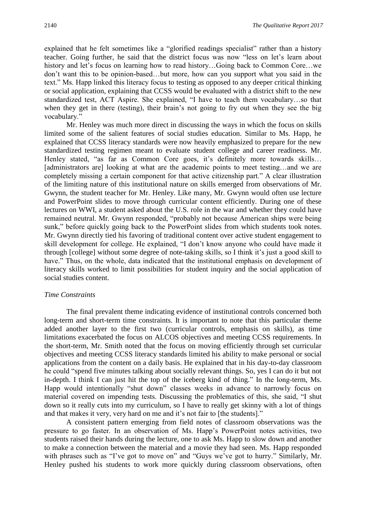explained that he felt sometimes like a "glorified readings specialist" rather than a history teacher. Going further, he said that the district focus was now "less on let's learn about history and let's focus on learning how to read history...Going back to Common Core...we don't want this to be opinion-based…but more, how can you support what you said in the text." Ms. Happ linked this literacy focus to testing as opposed to any deeper critical thinking or social application, explaining that CCSS would be evaluated with a district shift to the new standardized test, ACT Aspire. She explained, "I have to teach them vocabulary…so that when they get in there (testing), their brain's not going to fry out when they see the big vocabulary."

Mr. Henley was much more direct in discussing the ways in which the focus on skills limited some of the salient features of social studies education. Similar to Ms. Happ, he explained that CCSS literacy standards were now heavily emphasized to prepare for the new standardized testing regimen meant to evaluate student college and career readiness. Mr. Henley stated, "as far as Common Core goes, it's definitely more towards skills… [administrators are] looking at what are the academic points to meet testing...and we are completely missing a certain component for that active citizenship part." A clear illustration of the limiting nature of this institutional nature on skills emerged from observations of Mr. Gwynn, the student teacher for Mr. Henley. Like many, Mr. Gwynn would often use lecture and PowerPoint slides to move through curricular content efficiently. During one of these lectures on WWI, a student asked about the U.S. role in the war and whether they could have remained neutral. Mr. Gwynn responded, "probably not because American ships were being sunk," before quickly going back to the PowerPoint slides from which students took notes. Mr. Gwynn directly tied his favoring of traditional content over active student engagement to skill development for college. He explained, "I don't know anyone who could have made it through [college] without some degree of note-taking skills, so I think it's just a good skill to have." Thus, on the whole, data indicated that the institutional emphasis on development of literacy skills worked to limit possibilities for student inquiry and the social application of social studies content.

## *Time Constraints*

The final prevalent theme indicating evidence of institutional controls concerned both long-term and short-term time constraints. It is important to note that this particular theme added another layer to the first two (curricular controls, emphasis on skills), as time limitations exacerbated the focus on ALCOS objectives and meeting CCSS requirements. In the short-term, Mr. Smith noted that the focus on moving efficiently through set curricular objectives and meeting CCSS literacy standards limited his ability to make personal or social applications from the content on a daily basis. He explained that in his day-to-day classroom he could "spend five minutes talking about socially relevant things. So, yes I can do it but not in-depth. I think I can just hit the top of the iceberg kind of thing." In the long-term, Ms. Happ would intentionally "shut down" classes weeks in advance to narrowly focus on material covered on impending tests. Discussing the problematics of this, she said, "I shut down so it really cuts into my curriculum, so I have to really get skinny with a lot of things and that makes it very, very hard on me and it's not fair to [the students]."

A consistent pattern emerging from field notes of classroom observations was the pressure to go faster. In an observation of Ms. Happ's PowerPoint notes activities, two students raised their hands during the lecture, one to ask Ms. Happ to slow down and another to make a connection between the material and a movie they had seen. Ms. Happ responded with phrases such as "I've got to move on" and "Guys we've got to hurry." Similarly, Mr. Henley pushed his students to work more quickly during classroom observations, often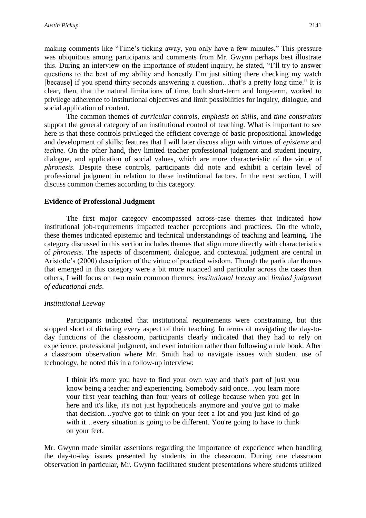making comments like "Time's ticking away, you only have a few minutes." This pressure was ubiquitous among participants and comments from Mr. Gwynn perhaps best illustrate this. During an interview on the importance of student inquiry, he stated, "I'll try to answer questions to the best of my ability and honestly I'm just sitting there checking my watch [because] if you spend thirty seconds answering a question...that's a pretty long time." It is clear, then, that the natural limitations of time, both short-term and long-term, worked to privilege adherence to institutional objectives and limit possibilities for inquiry, dialogue, and social application of content.

The common themes of *curricular controls*, *emphasis on skills*, and *time constraints* support the general category of an institutional control of teaching. What is important to see here is that these controls privileged the efficient coverage of basic propositional knowledge and development of skills; features that I will later discuss align with virtues of *episteme* and *techne.* On the other hand, they limited teacher professional judgment and student inquiry, dialogue, and application of social values, which are more characteristic of the virtue of *phronesis*. Despite these controls, participants did note and exhibit a certain level of professional judgment in relation to these institutional factors. In the next section, I will discuss common themes according to this category.

## **Evidence of Professional Judgment**

The first major category encompassed across-case themes that indicated how institutional job-requirements impacted teacher perceptions and practices. On the whole, these themes indicated epistemic and technical understandings of teaching and learning. The category discussed in this section includes themes that align more directly with characteristics of *phronesis*. The aspects of discernment, dialogue, and contextual judgment are central in Aristotle's (2000) description of the virtue of practical wisdom. Though the particular themes that emerged in this category were a bit more nuanced and particular across the cases than others, I will focus on two main common themes: *institutional leeway* and *limited judgment of educational ends*.

## *Institutional Leeway*

Participants indicated that institutional requirements were constraining, but this stopped short of dictating every aspect of their teaching. In terms of navigating the day-today functions of the classroom, participants clearly indicated that they had to rely on experience, professional judgment, and even intuition rather than following a rule book. After a classroom observation where Mr. Smith had to navigate issues with student use of technology, he noted this in a follow-up interview:

I think it's more you have to find your own way and that's part of just you know being a teacher and experiencing. Somebody said once…you learn more your first year teaching than four years of college because when you get in here and it's like, it's not just hypotheticals anymore and you've got to make that decision…you've got to think on your feet a lot and you just kind of go with it…every situation is going to be different. You're going to have to think on your feet.

Mr. Gwynn made similar assertions regarding the importance of experience when handling the day-to-day issues presented by students in the classroom. During one classroom observation in particular, Mr. Gwynn facilitated student presentations where students utilized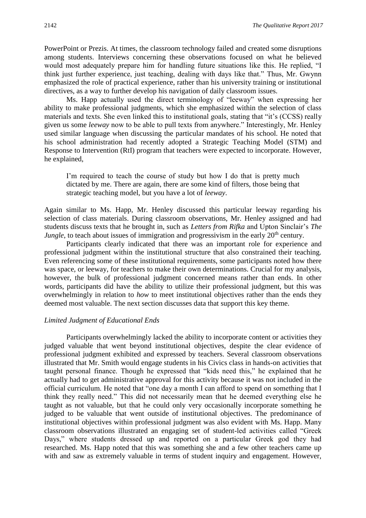PowerPoint or Prezis. At times, the classroom technology failed and created some disruptions among students. Interviews concerning these observations focused on what he believed would most adequately prepare him for handling future situations like this. He replied, "I think just further experience, just teaching, dealing with days like that." Thus, Mr. Gwynn emphasized the role of practical experience, rather than his university training or institutional directives, as a way to further develop his navigation of daily classroom issues.

Ms. Happ actually used the direct terminology of "leeway" when expressing her ability to make professional judgments, which she emphasized within the selection of class materials and texts. She even linked this to institutional goals, stating that "it's (CCSS) really given us some *leeway* now to be able to pull texts from anywhere." Interestingly, Mr. Henley used similar language when discussing the particular mandates of his school. He noted that his school administration had recently adopted a Strategic Teaching Model (STM) and Response to Intervention (RtI) program that teachers were expected to incorporate. However, he explained,

I'm required to teach the course of study but how I do that is pretty much dictated by me. There are again, there are some kind of filters, those being that strategic teaching model, but you have a lot of *leeway*.

Again similar to Ms. Happ, Mr. Henley discussed this particular leeway regarding his selection of class materials. During classroom observations, Mr. Henley assigned and had students discuss texts that he brought in, such as *Letters from Rifka* and Upton Sinclair's *The Jungle*, to teach about issues of immigration and progressivism in the early 20<sup>th</sup> century.

Participants clearly indicated that there was an important role for experience and professional judgment within the institutional structure that also constrained their teaching. Even referencing some of these institutional requirements, some participants noted how there was space, or leeway, for teachers to make their own determinations. Crucial for my analysis, however, the bulk of professional judgment concerned means rather than ends. In other words, participants did have the ability to utilize their professional judgment, but this was overwhelmingly in relation to *how* to meet institutional objectives rather than the ends they deemed most valuable. The next section discusses data that support this key theme.

## *Limited Judgment of Educational Ends*

Participants overwhelmingly lacked the ability to incorporate content or activities they judged valuable that went beyond institutional objectives, despite the clear evidence of professional judgment exhibited and expressed by teachers. Several classroom observations illustrated that Mr. Smith would engage students in his Civics class in hands-on activities that taught personal finance. Though he expressed that "kids need this," he explained that he actually had to get administrative approval for this activity because it was not included in the official curriculum. He noted that "one day a month I can afford to spend on something that I think they really need." This did not necessarily mean that he deemed everything else he taught as not valuable, but that he could only very occasionally incorporate something he judged to be valuable that went outside of institutional objectives. The predominance of institutional objectives within professional judgment was also evident with Ms. Happ. Many classroom observations illustrated an engaging set of student-led activities called "Greek Days," where students dressed up and reported on a particular Greek god they had researched. Ms. Happ noted that this was something she and a few other teachers came up with and saw as extremely valuable in terms of student inquiry and engagement. However,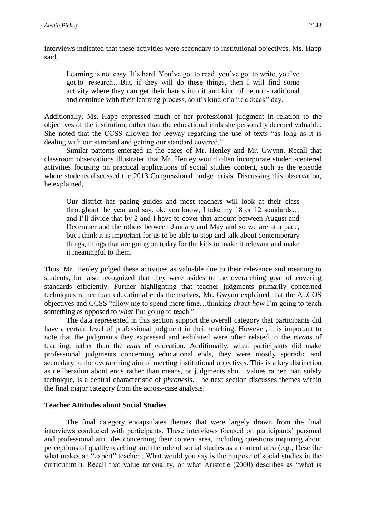interviews indicated that these activities were secondary to institutional objectives. Ms. Happ said,

Learning is not easy. It's hard. You've got to read, you've got to write, you've got to research…But, if they will do these things, then I will find some activity where they can get their hands into it and kind of be non-traditional and continue with their learning process, so it's kind of a "kickback" day.

Additionally, Ms. Happ expressed much of her professional judgment in relation to the objectives of the institution, rather than the educational ends she personally deemed valuable. She noted that the CCSS allowed for leeway regarding the use of texts "as long as it is dealing with our standard and getting our standard covered."

Similar patterns emerged in the cases of Mr. Henley and Mr. Gwynn. Recall that classroom observations illustrated that Mr. Henley would often incorporate student-centered activities focusing on practical applications of social studies content, such as the episode where students discussed the 2013 Congressional budget crisis. Discussing this observation, he explained,

Our district has pacing guides and most teachers will look at their class throughout the year and say, ok, you know, I take my 18 or 12 standards… and I'll divide that by 2 and I have to cover that amount between August and December and the others between January and May and so we are at a pace, but I think it is important for us to be able to stop and talk about contemporary things, things that are going on today for the kids to make it relevant and make it meaningful to them.

Thus, Mr. Henley judged these activities as valuable due to their relevance and meaning to students, but also recognized that they were asides to the overarching goal of covering standards efficiently. Further highlighting that teacher judgments primarily concerned techniques rather than educational ends themselves, Mr. Gwynn explained that the ALCOS objectives and CCSS "allow me to spend more time…thinking about *how* I'm going to teach something as opposed to *what* I'm going to teach."

The data represented in this section support the overall category that participants did have a certain level of professional judgment in their teaching. However, it is important to note that the judgments they expressed and exhibited were often related to the *means* of teaching, rather than the *ends* of education. Additionally, when participants did make professional judgments concerning educational ends, they were mostly sporadic and secondary to the overarching aim of meeting institutional objectives. This is a key distinction as deliberation about ends rather than means, or judgments about values rather than solely technique, is a central characteristic of *phronesis*. The next section discusses themes within the final major category from the across-case analysis.

## **Teacher Attitudes about Social Studies**

The final category encapsulates themes that were largely drawn from the final interviews conducted with participants. These interviews focused on participants' personal and professional attitudes concerning their content area, including questions inquiring about perceptions of quality teaching and the role of social studies as a content area (e.g., Describe what makes an "expert" teacher.; What would you say is the purpose of social studies in the curriculum?). Recall that value rationality, or what Aristotle (2000) describes as "what is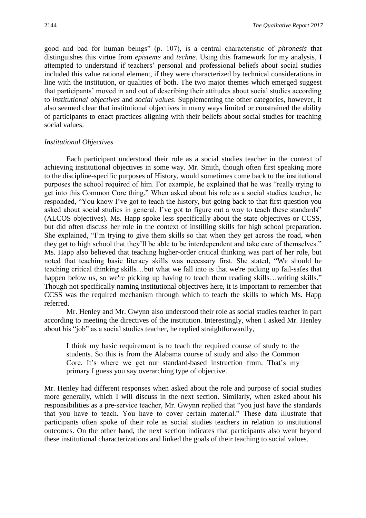good and bad for human beings" (p. 107), is a central characteristic of *phronesis* that distinguishes this virtue from *episteme* and *techne*. Using this framework for my analysis, I attempted to understand if teachers' personal and professional beliefs about social studies included this value rational element, if they were characterized by technical considerations in line with the institution, or qualities of both. The two major themes which emerged suggest that participants' moved in and out of describing their attitudes about social studies according to *institutional objectives* and *social values*. Supplementing the other categories, however, it also seemed clear that institutional objectives in many ways limited or constrained the ability of participants to enact practices aligning with their beliefs about social studies for teaching social values.

## *Institutional Objectives*

Each participant understood their role as a social studies teacher in the context of achieving institutional objectives in some way. Mr. Smith, though often first speaking more to the discipline-specific purposes of History, would sometimes come back to the institutional purposes the school required of him. For example, he explained that he was "really trying to get into this Common Core thing." When asked about his role as a social studies teacher, he responded, "You know I've got to teach the history, but going back to that first question you asked about social studies in general, I've got to figure out a way to teach these standards" (ALCOS objectives). Ms. Happ spoke less specifically about the state objectives or CCSS, but did often discuss her role in the context of instilling skills for high school preparation. She explained, "I'm trying to give them skills so that when they get across the road, when they get to high school that they'll be able to be interdependent and take care of themselves." Ms. Happ also believed that teaching higher-order critical thinking was part of her role, but noted that teaching basic literacy skills was necessary first. She stated, "We should be teaching critical thinking skills…but what we fall into is that we're picking up fail-safes that happen below us, so we're picking up having to teach them reading skills…writing skills." Though not specifically naming institutional objectives here, it is important to remember that CCSS was the required mechanism through which to teach the skills to which Ms. Happ referred.

Mr. Henley and Mr. Gwynn also understood their role as social studies teacher in part according to meeting the directives of the institution. Interestingly, when I asked Mr. Henley about his "job" as a social studies teacher, he replied straightforwardly,

I think my basic requirement is to teach the required course of study to the students. So this is from the Alabama course of study and also the Common Core. It's where we get our standard-based instruction from. That's my primary I guess you say overarching type of objective.

Mr. Henley had different responses when asked about the role and purpose of social studies more generally, which I will discuss in the next section. Similarly, when asked about his responsibilities as a pre-service teacher, Mr. Gwynn replied that "you just have the standards that you have to teach. You have to cover certain material." These data illustrate that participants often spoke of their role as social studies teachers in relation to institutional outcomes. On the other hand, the next section indicates that participants also went beyond these institutional characterizations and linked the goals of their teaching to social values.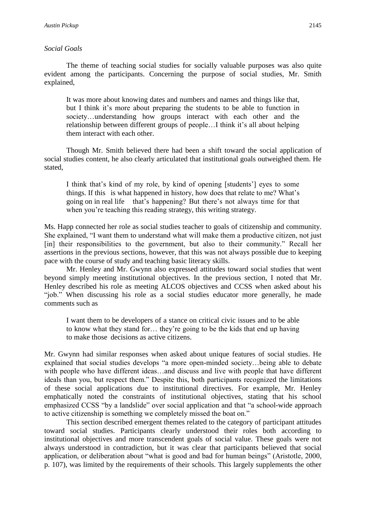## *Social Goals*

The theme of teaching social studies for socially valuable purposes was also quite evident among the participants. Concerning the purpose of social studies, Mr. Smith explained,

It was more about knowing dates and numbers and names and things like that, but I think it's more about preparing the students to be able to function in society…understanding how groups interact with each other and the relationship between different groups of people…I think it's all about helping them interact with each other.

Though Mr. Smith believed there had been a shift toward the social application of social studies content, he also clearly articulated that institutional goals outweighed them. He stated,

I think that's kind of my role, by kind of opening [students'] eyes to some things. If this is what happened in history, how does that relate to me? What's going on in real life that's happening? But there's not always time for that when you're teaching this reading strategy, this writing strategy.

Ms. Happ connected her role as social studies teacher to goals of citizenship and community. She explained, "I want them to understand what will make them a productive citizen, not just [in] their responsibilities to the government, but also to their community." Recall her assertions in the previous sections, however, that this was not always possible due to keeping pace with the course of study and teaching basic literacy skills.

Mr. Henley and Mr. Gwynn also expressed attitudes toward social studies that went beyond simply meeting institutional objectives. In the previous section, I noted that Mr. Henley described his role as meeting ALCOS objectives and CCSS when asked about his "job." When discussing his role as a social studies educator more generally, he made comments such as

I want them to be developers of a stance on critical civic issues and to be able to know what they stand for… they're going to be the kids that end up having to make those decisions as active citizens.

Mr. Gwynn had similar responses when asked about unique features of social studies. He explained that social studies develops "a more open-minded society…being able to debate with people who have different ideas…and discuss and live with people that have different ideals than you, but respect them." Despite this, both participants recognized the limitations of these social applications due to institutional directives. For example, Mr. Henley emphatically noted the constraints of institutional objectives, stating that his school emphasized CCSS "by a landslide" over social application and that "a school-wide approach to active citizenship is something we completely missed the boat on."

This section described emergent themes related to the category of participant attitudes toward social studies. Participants clearly understood their roles both according to institutional objectives and more transcendent goals of social value. These goals were not always understood in contradiction, but it was clear that participants believed that social application, or deliberation about "what is good and bad for human beings" (Aristotle, 2000, p. 107), was limited by the requirements of their schools. This largely supplements the other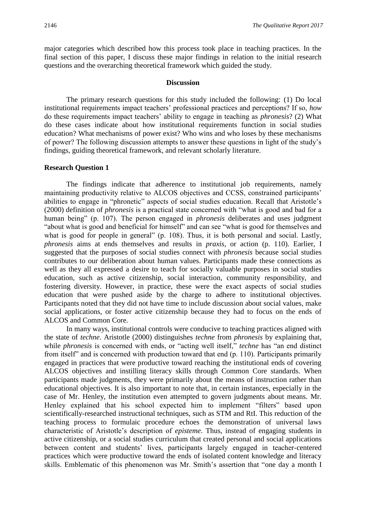major categories which described how this process took place in teaching practices. In the final section of this paper, I discuss these major findings in relation to the initial research questions and the overarching theoretical framework which guided the study.

#### **Discussion**

The primary research questions for this study included the following: (1) Do local institutional requirements impact teachers' professional practices and perceptions? If so, *how* do these requirements impact teachers' ability to engage in teaching as *phronesis*? (2) What do these cases indicate about how institutional requirements function in social studies education? What mechanisms of power exist? Who wins and who loses by these mechanisms of power? The following discussion attempts to answer these questions in light of the study's findings, guiding theoretical framework, and relevant scholarly literature.

#### **Research Question 1**

The findings indicate that adherence to institutional job requirements, namely maintaining productivity relative to ALCOS objectives and CCSS, constrained participants' abilities to engage in "phronetic" aspects of social studies education. Recall that Aristotle's (2000) definition of *phronesis* is a practical state concerned with "what is good and bad for a human being" (p. 107). The person engaged in *phronesis* deliberates and uses judgment "about what is good and beneficial for himself" and can see "what is good for themselves and what is good for people in general" (p. 108). Thus, it is both personal and social. Lastly, *phronesis* aims at ends themselves and results in *praxis*, or action (p. 110). Earlier, I suggested that the purposes of social studies connect with *phronesis* because social studies contributes to our deliberation about human values. Participants made these connections as well as they all expressed a desire to teach for socially valuable purposes in social studies education, such as active citizenship, social interaction, community responsibility, and fostering diversity. However, in practice, these were the exact aspects of social studies education that were pushed aside by the charge to adhere to institutional objectives. Participants noted that they did not have time to include discussion about social values, make social applications, or foster active citizenship because they had to focus on the ends of ALCOS and Common Core.

In many ways, institutional controls were conducive to teaching practices aligned with the state of *techne*. Aristotle (2000) distinguishes *techne* from *phronesis* by explaining that, while *phronesis* is concerned with ends, or "acting well itself," *techne* has "an end distinct from itself" and is concerned with production toward that end (p. 110). Participants primarily engaged in practices that were productive toward reaching the institutional ends of covering ALCOS objectives and instilling literacy skills through Common Core standards. When participants made judgments, they were primarily about the means of instruction rather than educational objectives. It is also important to note that, in certain instances, especially in the case of Mr. Henley, the institution even attempted to govern judgments about means. Mr. Henley explained that his school expected him to implement "filters" based upon scientifically-researched instructional techniques, such as STM and RtI. This reduction of the teaching process to formulaic procedure echoes the demonstration of universal laws characteristic of Aristotle's description of *episteme*. Thus, instead of engaging students in active citizenship, or a social studies curriculum that created personal and social applications between content and students' lives, participants largely engaged in teacher-centered practices which were productive toward the ends of isolated content knowledge and literacy skills. Emblematic of this phenomenon was Mr. Smith's assertion that "one day a month I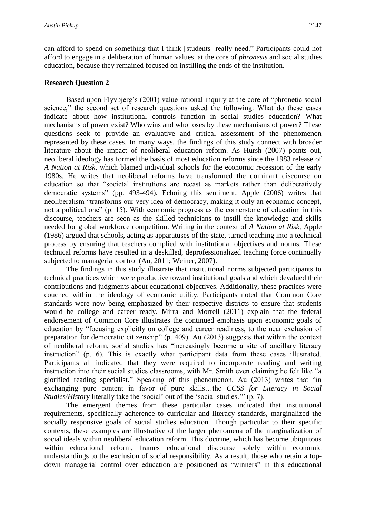can afford to spend on something that I think [students] really need." Participants could not afford to engage in a deliberation of human values, at the core of *phronesis* and social studies education, because they remained focused on instilling the ends of the institution.

## **Research Question 2**

Based upon Flyvbjerg's (2001) value-rational inquiry at the core of "phronetic social science," the second set of research questions asked the following: What do these cases indicate about how institutional controls function in social studies education? What mechanisms of power exist? Who wins and who loses by these mechanisms of power? These questions seek to provide an evaluative and critical assessment of the phenomenon represented by these cases. In many ways, the findings of this study connect with broader literature about the impact of neoliberal education reform. As Hursh (2007) points out, neoliberal ideology has formed the basis of most education reforms since the 1983 release of *A Nation at Risk*, which blamed individual schools for the economic recession of the early 1980s. He writes that neoliberal reforms have transformed the dominant discourse on education so that "societal institutions are recast as markets rather than deliberatively democratic systems" (pp. 493-494). Echoing this sentiment, Apple (2006) writes that neoliberalism "transforms our very idea of democracy, making it only an economic concept, not a political one" (p. 15). With economic progress as the cornerstone of education in this discourse, teachers are seen as the skilled technicians to instill the knowledge and skills needed for global workforce competition. Writing in the context of *A Nation at Risk*, Apple (1986) argued that schools, acting as apparatuses of the state, turned teaching into a technical process by ensuring that teachers complied with institutional objectives and norms. These technical reforms have resulted in a deskilled, deprofessionalized teaching force continually subjected to managerial control (Au, 2011; Weiner, 2007).

The findings in this study illustrate that institutional norms subjected participants to technical practices which were productive toward institutional goals and which devalued their contributions and judgments about educational objectives. Additionally, these practices were couched within the ideology of economic utility. Participants noted that Common Core standards were now being emphasized by their respective districts to ensure that students would be college and career ready. Mirra and Morrell (2011) explain that the federal endorsement of Common Core illustrates the continued emphasis upon economic goals of education by "focusing explicitly on college and career readiness, to the near exclusion of preparation for democratic citizenship" (p. 409). Au (2013) suggests that within the context of neoliberal reform, social studies has "increasingly become a site of ancillary literacy instruction" (p. 6). This is exactly what participant data from these cases illustrated. Participants all indicated that they were required to incorporate reading and writing instruction into their social studies classrooms, with Mr. Smith even claiming he felt like "a glorified reading specialist." Speaking of this phenomenon, Au (2013) writes that "in exchanging pure content in favor of pure skills…the *CCSS for Literacy in Social Studies/History literally take the 'social' out of the 'social studies.'" (p. 7).* 

The emergent themes from these particular cases indicated that institutional requirements, specifically adherence to curricular and literacy standards, marginalized the socially responsive goals of social studies education. Though particular to their specific contexts, these examples are illustrative of the larger phenomena of the marginalization of social ideals within neoliberal education reform. This doctrine, which has become ubiquitous within educational reform, frames educational discourse solely within economic understandings to the exclusion of social responsibility. As a result, those who retain a topdown managerial control over education are positioned as "winners" in this educational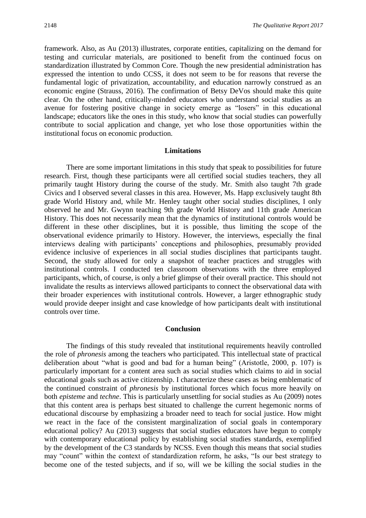framework. Also, as Au (2013) illustrates, corporate entities, capitalizing on the demand for testing and curricular materials, are positioned to benefit from the continued focus on standardization illustrated by Common Core. Though the new presidential administration has expressed the intention to undo CCSS, it does not seem to be for reasons that reverse the fundamental logic of privatization, accountability, and education narrowly construed as an economic engine (Strauss, 2016). The confirmation of Betsy DeVos should make this quite clear. On the other hand, critically-minded educators who understand social studies as an avenue for fostering positive change in society emerge as "losers" in this educational landscape; educators like the ones in this study, who know that social studies can powerfully contribute to social application and change, yet who lose those opportunities within the institutional focus on economic production.

#### **Limitations**

There are some important limitations in this study that speak to possibilities for future research. First, though these participants were all certified social studies teachers, they all primarily taught History during the course of the study. Mr. Smith also taught 7th grade Civics and I observed several classes in this area. However, Ms. Happ exclusively taught 8th grade World History and, while Mr. Henley taught other social studies disciplines, I only observed he and Mr. Gwynn teaching 9th grade World History and 11th grade American History. This does not necessarily mean that the dynamics of institutional controls would be different in these other disciplines, but it is possible, thus limiting the scope of the observational evidence primarily to History. However, the interviews, especially the final interviews dealing with participants' conceptions and philosophies, presumably provided evidence inclusive of experiences in all social studies disciplines that participants taught. Second, the study allowed for only a snapshot of teacher practices and struggles with institutional controls. I conducted ten classroom observations with the three employed participants, which, of course, is only a brief glimpse of their overall practice. This should not invalidate the results as interviews allowed participants to connect the observational data with their broader experiences with institutional controls. However, a larger ethnographic study would provide deeper insight and case knowledge of how participants dealt with institutional controls over time.

#### **Conclusion**

The findings of this study revealed that institutional requirements heavily controlled the role of *phronesis* among the teachers who participated. This intellectual state of practical deliberation about "what is good and bad for a human being" (Aristotle, 2000, p. 107) is particularly important for a content area such as social studies which claims to aid in social educational goals such as active citizenship. I characterize these cases as being emblematic of the continued constraint of *phronesis* by institutional forces which focus more heavily on both *episteme* and *techne*. This is particularly unsettling for social studies as Au (2009) notes that this content area is perhaps best situated to challenge the current hegemonic norms of educational discourse by emphasizing a broader need to teach for social justice. How might we react in the face of the consistent marginalization of social goals in contemporary educational policy? Au (2013) suggests that social studies educators have begun to comply with contemporary educational policy by establishing social studies standards, exemplified by the development of the C3 standards by NCSS. Even though this means that social studies may "count" within the context of standardization reform, he asks, "Is our best strategy to become one of the tested subjects, and if so, will we be killing the social studies in the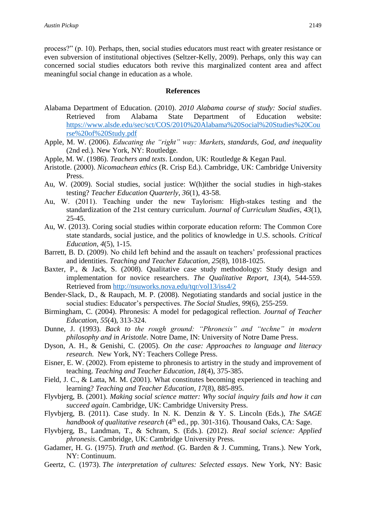process?" (p. 10). Perhaps, then, social studies educators must react with greater resistance or even subversion of institutional objectives (Seltzer-Kelly, 2009). Perhaps, only this way can concerned social studies educators both revive this marginalized content area and affect meaningful social change in education as a whole.

## **References**

- Alabama Department of Education. (2010). *2010 Alabama course of study: Social studies*. Retrieved from Alabama State Department of Education website: [https://www.alsde.edu/sec/sct/COS/2010%20Alabama%20Social%20Studies%20Cou](https://www.alsde.edu/sec/sct/COS/2010%20Alabama%20Social%20Studies%20Course%20of%20Study.pdf) [rse%20of%20Study.pdf](https://www.alsde.edu/sec/sct/COS/2010%20Alabama%20Social%20Studies%20Course%20of%20Study.pdf)
- Apple, M. W. (2006). *Educating the "right" way: Markets, standards, God, and inequality*  (2nd ed.). New York, NY: Routledge.
- Apple, M. W. (1986). *Teachers and texts*. London, UK: Routledge & Kegan Paul.
- Aristotle. (2000). *Nicomachean ethics* (R. Crisp Ed.). Cambridge, UK: Cambridge University Press.
- Au, W. (2009). Social studies, social justice: W(h)ither the social studies in high-stakes testing? *Teacher Education Quarterly*, *36*(1), 43-58.
- Au, W. (2011). Teaching under the new Taylorism: High-stakes testing and the standardization of the 21st century curriculum. *Journal of Curriculum Studies*, *43*(1), 25-45.
- Au, W. (2013). Coring social studies within corporate education reform: The Common Core state standards, social justice, and the politics of knowledge in U.S. schools. *Critical Education*, *4*(5), 1-15.
- Barrett, B. D. (2009). No child left behind and the assault on teachers' professional practices and identities. *Teaching and Teacher Education*, *25*(8), 1018-1025.
- Baxter, P., & Jack, S. (2008). Qualitative case study methodology: Study design and implementation for novice researchers. *The Qualitative Report*, *13*(4), 544-559. Retrieved from<http://nsuworks.nova.edu/tqr/vol13/iss4/2>
- Bender-Slack, D., & Raupach, M. P. (2008). Negotiating standards and social justice in the social studies: Educator's perspectives. *The Social Studies*, *99*(6), 255-259.
- Birmingham, C. (2004). Phronesis: A model for pedagogical reflection. *Journal of Teacher Education*, *55*(4), 313-324.
- Dunne, J. (1993). *Back to the rough ground: "Phronesis" and "techne" in modern philosophy and in Aristotle*. Notre Dame, IN: University of Notre Dame Press.
- Dyson, A. H., & Genishi, C. (2005). *On the case: Approaches to language and literacy research.* New York, NY: Teachers College Press.
- Eisner, E. W. (2002). From episteme to phronesis to artistry in the study and improvement of teaching. *Teaching and Teacher Education*, *18*(4), 375-385.
- Field, J. C., & Latta, M. M. (2001). What constitutes becoming experienced in teaching and learning? *Teaching and Teacher Education*, *17*(8), 885-895.
- Flyvbjerg, B. (2001). *Making social science matter: Why social inquiry fails and how it can succeed again*. Cambridge, UK: Cambridge University Press.
- Flyvbjerg, B. (2011). Case study. In N. K. Denzin & Y. S. Lincoln (Eds.), *The SAGE*  handbook of qualitative research (4<sup>th</sup> ed., pp. 301-316). Thousand Oaks, CA: Sage.
- Flyvbjerg, B., Landman, T., & Schram, S. (Eds.). (2012). *Real social science: Applied phronesis*. Cambridge, UK: Cambridge University Press.
- Gadamer, H. G. (1975). *Truth and method*. (G. Barden & J. Cumming, Trans.). New York, NY: Continuum.
- Geertz, C. (1973). *The interpretation of cultures: Selected essays*. New York, NY: Basic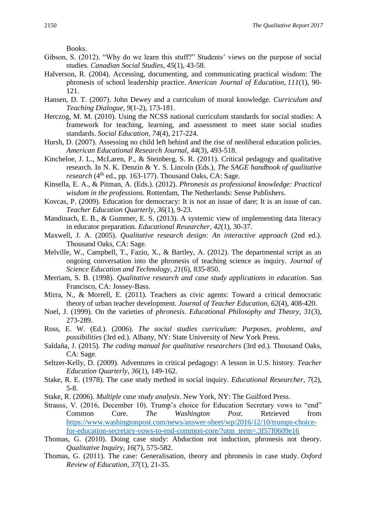Books.

- Gibson, S. (2012). "Why do we learn this stuff?" Students' views on the purpose of social studies. *Canadian Social Studies*, *45*(1), 43-58.
- Halverson, R. (2004). Accessing, documenting, and communicating practical wisdom: The phronesis of school leadership practice. *American Journal of Education*, *111*(1), 90- 121.
- Hansen, D. T. (2007). John Dewey and a curriculum of moral knowledge. *Curriculum and Teaching Dialogue*, *9*(1-2), 173-181.
- Herczog, M. M. (2010). Using the NCSS national curriculum standards for social studies: A framework for teaching, learning, and assessment to meet state social studies standards. *Social Education*, *74*(4), 217-224.
- Hursh, D. (2007). Assessing no child left behind and the rise of neoliberal education policies. *American Educational Research Journal*, *44*(3), 493-518.
- Kincheloe, J. L., McLaren, P., & Steinberg, S. R. (2011). Critical pedagogy and qualitative research. In N. K. Denzin & Y. S. Lincoln (Eds.), *The SAGE handbook of qualitative*  research (4<sup>th</sup> ed., pp. 163-177). Thousand Oaks, CA: Sage.
- Kinsella, E. A., & Pitman, A. (Eds.). (2012). *Phronesis as professional knowledge: Practical wisdom in the professions*. Rotterdam, The Netherlands: Sense Publishers.
- Kovcas, P. (2009). Education for democracy: It is not an issue of dare; It is an issue of can. *Teacher Education Quarterly, 36*(1), 9-23.
- Mandinach, E. B., & Gummer, E. S. (2013). A systemic view of implementing data literacy in educator preparation. *Educational Researcher*, *42*(1), 30-37.
- Maxwell, J. A. (2005). *Qualitative research design: An interactive approach* (2nd ed.). Thousand Oaks, CA: Sage.
- Melville, W., Campbell, T., Fazio, X., & Bartley, A. (2012). The departmental script as an ongoing conversation into the phronesis of teaching science as inquiry. *Journal of Science Education and Technology*, *21*(6), 835-850.
- Merriam, S. B. (1998). *Qualitative research and case study applications in education*. San Francisco, CA: Jossey-Bass.
- Mirra, N., & Morrell, E. (2011). Teachers as civic agents: Toward a critical democratic theory of urban teacher development. *Journal of Teacher Education*, *62*(4), 408-420.
- Noel, J. (1999). On the varieties of *phronesis*. *Educational Philosophy and Theory*, *31*(3), 273-289.
- Ross, E. W. (Ed.). (2006). *The social studies curriculum: Purposes, problems, and possibilities* (3rd ed.). Albany, NY: State University of New York Press.
- Saldaña, J. (2015). *The coding manual for qualitative researchers* (3rd ed.). Thousand Oaks, CA: Sage.
- Seltzer-Kelly, D. (2009). Adventures in critical pedagogy: A lesson in U.S. history. *Teacher Education Quarterly*, *36*(1), 149-162.
- Stake, R. E. (1978). The case study method in social inquiry. *Educational Researcher*, *7*(2), 5-8.
- Stake, R. (2006). *Multiple case study analysis*. New York, NY: The Guilford Press.
- Strauss, V. (2016, December 10). Trump's choice for Education Secretary vows to "end" Common Core. *The Washington Post*. Retrieved from [https://www.washingtonpost.com/news/answer-sheet/wp/2016/12/10/trumps-choice](https://www.washingtonpost.com/news/answer-sheet/wp/2016/12/10/trumps-choice-for-education-secretary-vows-to-end-common-core/?utm_term=.3f57f0609e16)[for-education-secretary-vows-to-end-common-core/?utm\\_term=.3f57f0609e16](https://www.washingtonpost.com/news/answer-sheet/wp/2016/12/10/trumps-choice-for-education-secretary-vows-to-end-common-core/?utm_term=.3f57f0609e16)
- Thomas, G. (2010). Doing case study: Abduction not induction, phronesis not theory. *Qualitative Inquiry*, *16*(7), 575-582.
- Thomas, G. (2011). The case: Generalisation, theory and phronesis in case study. *Oxford Review of Education*, *37*(1), 21-35.